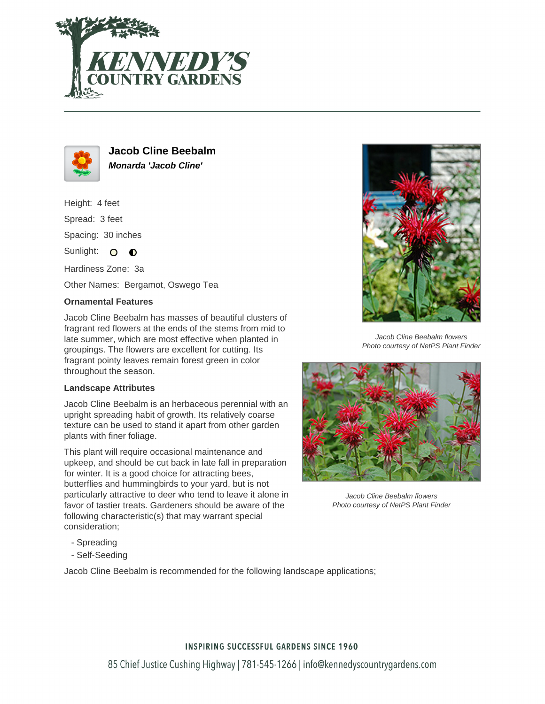



**Jacob Cline Beebalm Monarda 'Jacob Cline'**

Height: 4 feet Spread: 3 feet Spacing: 30 inches

Sunlight:  $\circ$  $\bullet$ 

Hardiness Zone: 3a

Other Names: Bergamot, Oswego Tea

## **Ornamental Features**

Jacob Cline Beebalm has masses of beautiful clusters of fragrant red flowers at the ends of the stems from mid to late summer, which are most effective when planted in groupings. The flowers are excellent for cutting. Its fragrant pointy leaves remain forest green in color throughout the season.

## **Landscape Attributes**

Jacob Cline Beebalm is an herbaceous perennial with an upright spreading habit of growth. Its relatively coarse texture can be used to stand it apart from other garden plants with finer foliage.

This plant will require occasional maintenance and upkeep, and should be cut back in late fall in preparation for winter. It is a good choice for attracting bees, butterflies and hummingbirds to your yard, but is not particularly attractive to deer who tend to leave it alone in favor of tastier treats. Gardeners should be aware of the following characteristic(s) that may warrant special consideration;

Jacob Cline Beebalm flowers Photo courtesy of NetPS Plant Finder



Jacob Cline Beebalm flowers Photo courtesy of NetPS Plant Finder

- Spreading
- Self-Seeding

Jacob Cline Beebalm is recommended for the following landscape applications;

## **INSPIRING SUCCESSFUL GARDENS SINCE 1960**

85 Chief Justice Cushing Highway | 781-545-1266 | info@kennedyscountrygardens.com